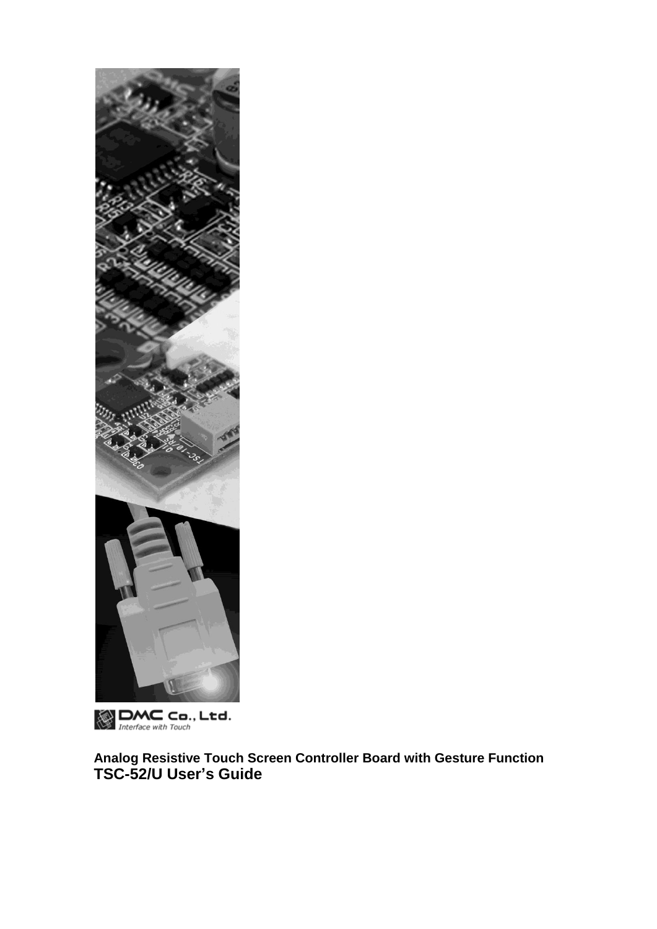

**DMC** Co., Ltd.

**Analog Resistive Touch Screen Controller Board with Gesture Function TSC-52/U User's Guide**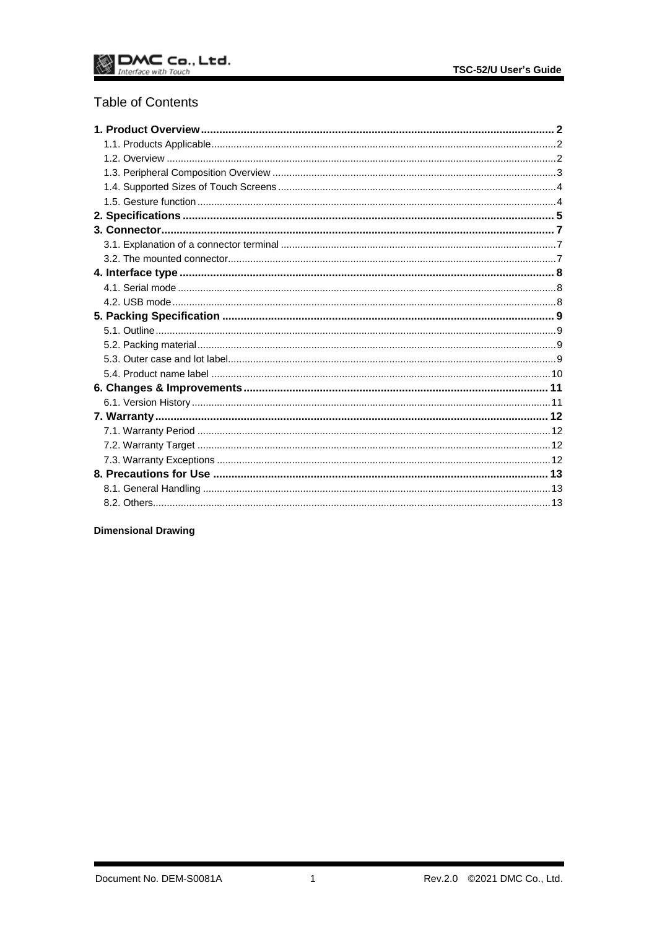## **Table of Contents**

## **Dimensional Drawing**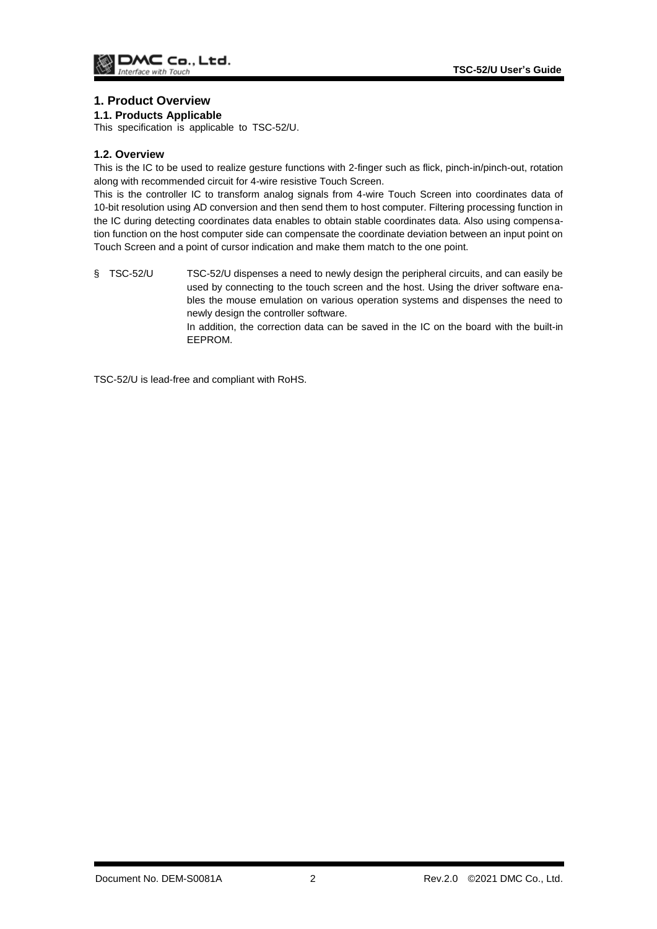## <span id="page-2-0"></span>**1. Product Overview**

#### <span id="page-2-1"></span>**1.1. Products Applicable**

This specification is applicable to TSC-52/U.

#### <span id="page-2-2"></span>**1.2. Overview**

This is the IC to be used to realize gesture functions with 2-finger such as flick, pinch-in/pinch-out, rotation along with recommended circuit for 4-wire resistive Touch Screen.

This is the controller IC to transform analog signals from 4-wire Touch Screen into coordinates data of 10-bit resolution using AD conversion and then send them to host computer. Filtering processing function in the IC during detecting coordinates data enables to obtain stable coordinates data. Also using compensation function on the host computer side can compensate the coordinate deviation between an input point on Touch Screen and a point of cursor indication and make them match to the one point.

§ TSC-52/U TSC-52/U dispenses a need to newly design the peripheral circuits, and can easily be used by connecting to the touch screen and the host. Using the driver software enables the mouse emulation on various operation systems and dispenses the need to newly design the controller software.

In addition, the correction data can be saved in the IC on the board with the built-in EEPROM.

TSC-52/U is lead-free and compliant with RoHS.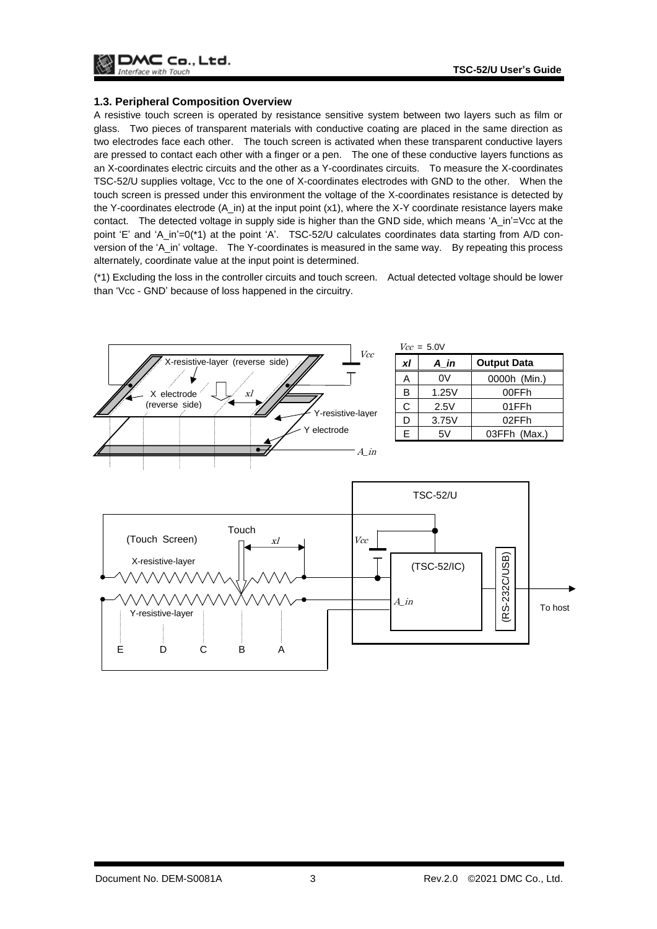

#### <span id="page-3-0"></span>**1.3. Peripheral Composition Overview**

A resistive touch screen is operated by resistance sensitive system between two layers such as film or glass. Two pieces of transparent materials with conductive coating are placed in the same direction as two electrodes face each other. The touch screen is activated when these transparent conductive layers are pressed to contact each other with a finger or a pen. The one of these conductive layers functions as an X-coordinates electric circuits and the other as a Y-coordinates circuits. To measure the X-coordinates TSC-52/U supplies voltage, Vcc to the one of X-coordinates electrodes with GND to the other. When the touch screen is pressed under this environment the voltage of the X-coordinates resistance is detected by the Y-coordinates electrode (A\_in) at the input point (x1), where the X-Y coordinate resistance layers make contact. The detected voltage in supply side is higher than the GND side, which means 'A\_in'=Vcc at the point 'E' and 'A\_in'=0(\*1) at the point 'A'. TSC-52/U calculates coordinates data starting from A/D conversion of the 'A\_in' voltage. The Y-coordinates is measured in the same way. By repeating this process alternately, coordinate value at the input point is determined.

(\*1) Excluding the loss in the controller circuits and touch screen. Actual detected voltage should be lower than 'Vcc - GND' because of loss happened in the circuitry.

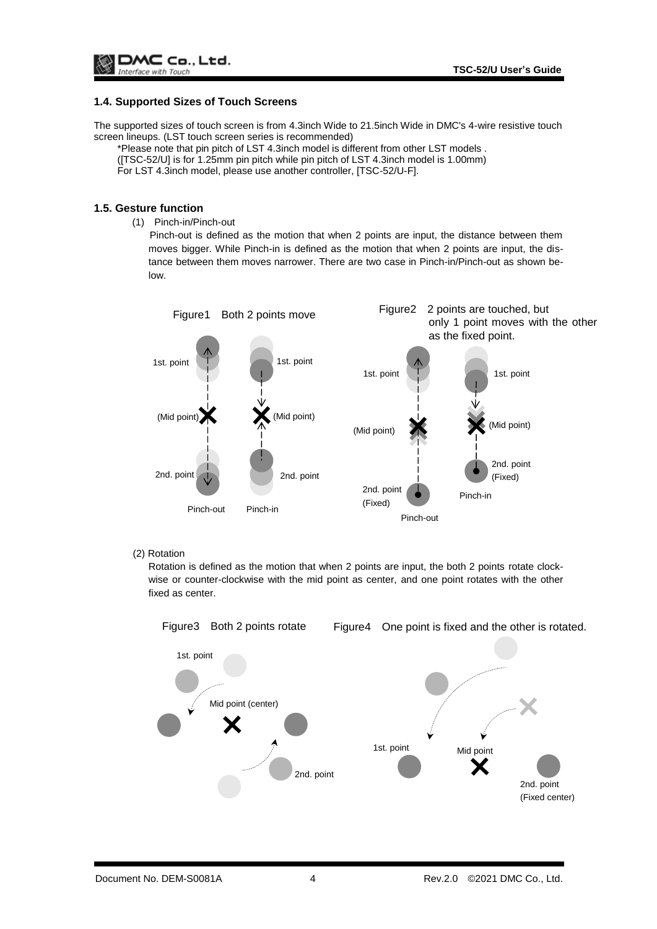#### <span id="page-4-0"></span>**1.4. Supported Sizes of Touch Screens**

The supported sizes of touch screen is from 4.3inch Wide to 21.5inch Wide in DMC's 4-wire resistive touch screen lineups. (LST touch screen series is recommended)

\*Please note that pin pitch of LST 4.3inch model is different from other LST models .

([TSC-52/U] is for 1.25mm pin pitch while pin pitch of LST 4.3inch model is 1.00mm)

For LST 4.3inch model, please use another controller, [TSC-52/U-F].

#### <span id="page-4-1"></span>**1.5. Gesture function**

(1) Pinch-in/Pinch-out

Pinch-out is defined as the motion that when 2 points are input, the distance between them moves bigger. While Pinch-in is defined as the motion that when 2 points are input, the distance between them moves narrower. There are two case in Pinch-in/Pinch-out as shown below.



#### (2) Rotation

Rotation is defined as the motion that when 2 points are input, the both 2 points rotate clockwise or counter-clockwise with the mid point as center, and one point rotates with the other fixed as center.

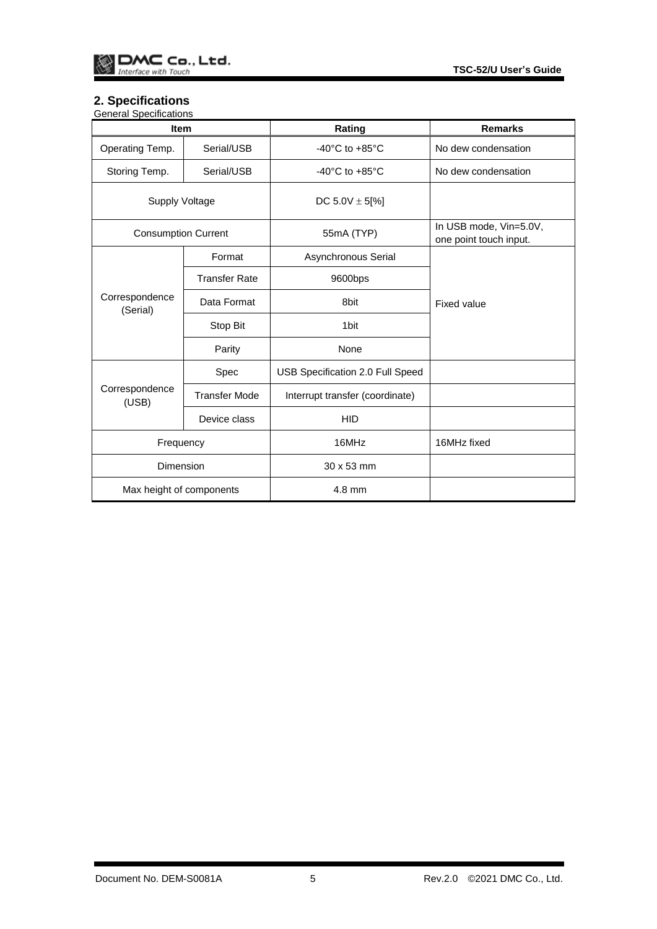## <span id="page-5-0"></span>**2. Specifications**

| <b>General Specifications</b> |
|-------------------------------|

| <br><b>Item</b>            |                      | Rating                               | <b>Remarks</b>                                   |  |
|----------------------------|----------------------|--------------------------------------|--------------------------------------------------|--|
| Operating Temp.            | Serial/USB           | -40 $^{\circ}$ C to +85 $^{\circ}$ C | No dew condensation                              |  |
| Storing Temp.              | Serial/USB           | -40 $^{\circ}$ C to +85 $^{\circ}$ C | No dew condensation                              |  |
| <b>Supply Voltage</b>      |                      | DC $5.0V \pm 5[%]$                   |                                                  |  |
| <b>Consumption Current</b> |                      | 55mA (TYP)                           | In USB mode, Vin=5.0V,<br>one point touch input. |  |
|                            | Format               | Asynchronous Serial                  |                                                  |  |
| Correspondence<br>(Serial) | <b>Transfer Rate</b> | 9600bps                              |                                                  |  |
|                            | Data Format          | 8bit                                 | <b>Fixed value</b>                               |  |
|                            | Stop Bit             | 1 <sub>bit</sub>                     |                                                  |  |
|                            | Parity               | None                                 |                                                  |  |
| Correspondence<br>(USB)    | Spec                 | USB Specification 2.0 Full Speed     |                                                  |  |
|                            | <b>Transfer Mode</b> | Interrupt transfer (coordinate)      |                                                  |  |
|                            | Device class         | <b>HID</b>                           |                                                  |  |
| Frequency                  |                      | 16MHz                                | 16MHz fixed                                      |  |
| Dimension                  |                      | 30 x 53 mm                           |                                                  |  |
| Max height of components   |                      | 4.8 mm                               |                                                  |  |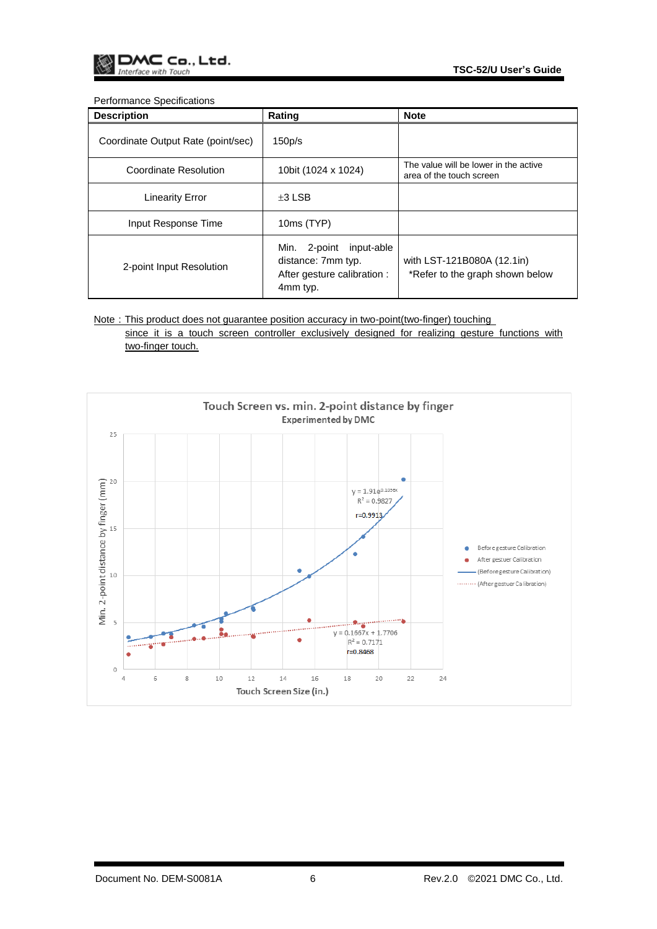#### Performance Specifications

| <b>Description</b>                 | Rating                                                                                         | <b>Note</b>                                                       |
|------------------------------------|------------------------------------------------------------------------------------------------|-------------------------------------------------------------------|
| Coordinate Output Rate (point/sec) | 150p/s                                                                                         |                                                                   |
| Coordinate Resolution              | 10bit (1024 x 1024)                                                                            | The value will be lower in the active<br>area of the touch screen |
| <b>Linearity Error</b>             | $\pm 3$ LSB                                                                                    |                                                                   |
| Input Response Time                | 10ms (TYP)                                                                                     |                                                                   |
| 2-point Input Resolution           | 2-point<br>input-able<br>Min.<br>distance: 7mm typ.<br>After gesture calibration :<br>4mm typ. | with LST-121B080A (12.1in)<br>*Refer to the graph shown below     |

Note: This product does not guarantee position accuracy in two-point(two-finger) touching since it is a touch screen controller exclusively designed for realizing gesture functions with two-finger touch.

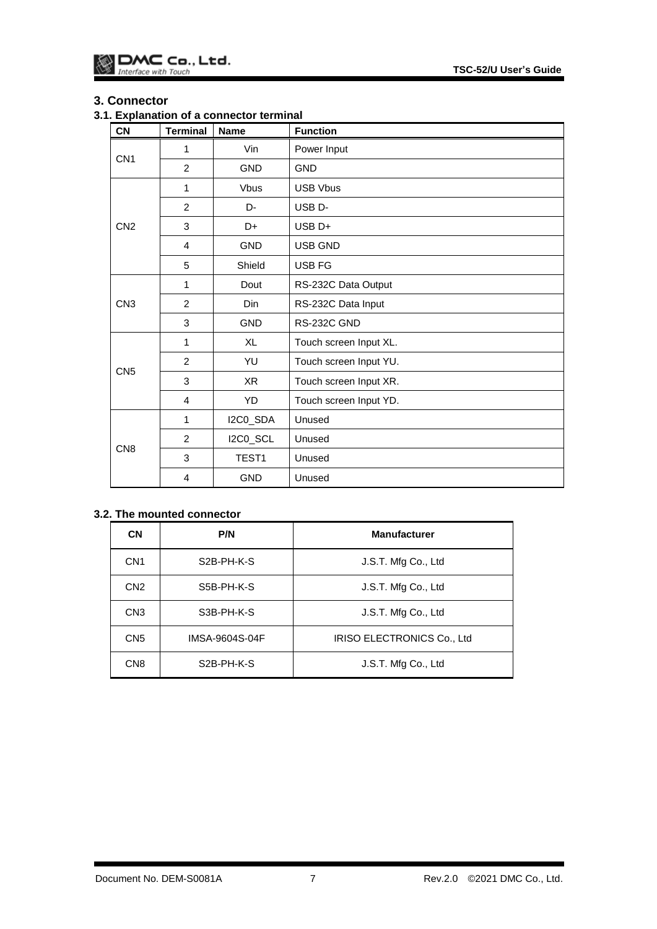## <span id="page-7-0"></span>**3. Connector**

## <span id="page-7-1"></span>**3.1. Explanation of a connector terminal**

| <b>CN</b>       | <b>Terminal</b> | <b>Name</b>       | <b>Function</b>        |
|-----------------|-----------------|-------------------|------------------------|
| CN <sub>1</sub> | 1               | Vin               | Power Input            |
|                 | $\overline{2}$  | <b>GND</b>        | <b>GND</b>             |
|                 | 1               | <b>Vbus</b>       | <b>USB Vbus</b>        |
|                 | $\overline{2}$  | D-                | USB <sub>D</sub> -     |
| CN <sub>2</sub> | 3               | D+                | USB <sub>D+</sub>      |
|                 | 4               | <b>GND</b>        | USB GND                |
|                 | 5               | Shield            | USB FG                 |
| CN <sub>3</sub> | 1               | Dout              | RS-232C Data Output    |
|                 | $\overline{2}$  | Din               | RS-232C Data Input     |
|                 | 3               | <b>GND</b>        | RS-232C GND            |
| CN <sub>5</sub> | 1               | <b>XL</b>         | Touch screen Input XL. |
|                 | $\overline{2}$  | YU                | Touch screen Input YU. |
|                 | 3               | XR                | Touch screen Input XR. |
|                 | 4               | YD                | Touch screen Input YD. |
| CN <sub>8</sub> | 1               | I2C0_SDA          | Unused                 |
|                 | 2               | I2C0_SCL          | Unused                 |
|                 | 3               | TEST <sub>1</sub> | Unused                 |
|                 | 4               | <b>GND</b>        | Unused                 |

## <span id="page-7-2"></span>**3.2. The mounted connector**

| <b>CN</b>       | P/N                     | <b>Manufacturer</b>        |
|-----------------|-------------------------|----------------------------|
| CN <sub>1</sub> | S <sub>2</sub> B-PH-K-S | J.S.T. Mfg Co., Ltd        |
| CN <sub>2</sub> | S5B-PH-K-S              | J.S.T. Mfg Co., Ltd        |
| CN <sub>3</sub> | S3B-PH-K-S              | J.S.T. Mfg Co., Ltd        |
| CN <sub>5</sub> | IMSA-9604S-04F          | IRISO ELECTRONICS Co., Ltd |
| CN <sub>8</sub> | S <sub>2</sub> B-PH-K-S | J.S.T. Mfg Co., Ltd        |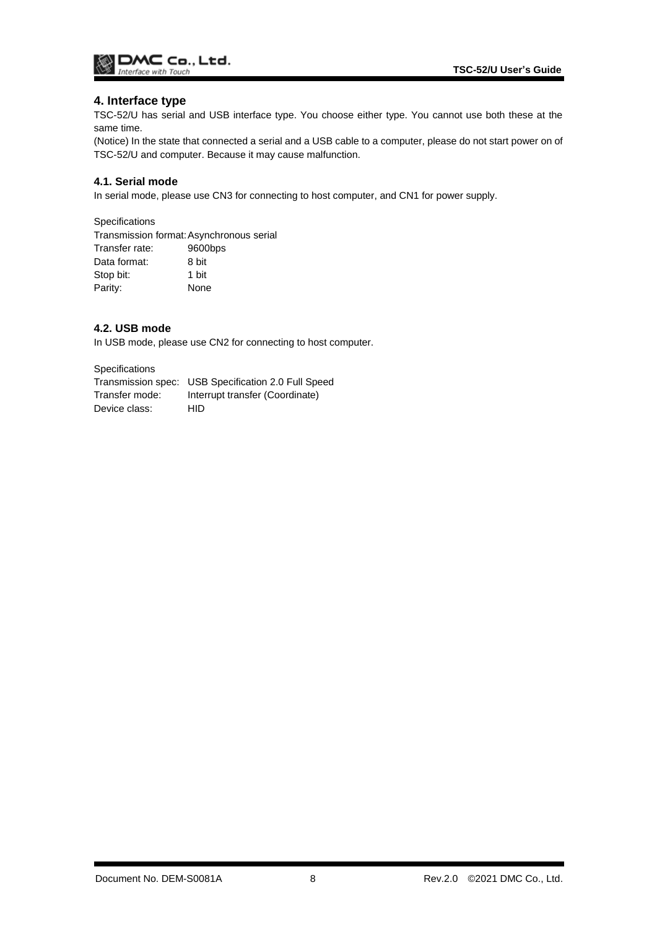

## <span id="page-8-0"></span>**4. Interface type**

TSC-52/U has serial and USB interface type. You choose either type. You cannot use both these at the same time.

(Notice) In the state that connected a serial and a USB cable to a computer, please do not start power on of TSC-52/U and computer. Because it may cause malfunction.

#### <span id="page-8-1"></span>**4.1. Serial mode**

In serial mode, please use CN3 for connecting to host computer, and CN1 for power supply.

**Specifications** 

Transmission format:Asynchronous serial Transfer rate: 9600bps Data format: 8 bit Stop bit: 1 bit Parity: None

#### <span id="page-8-2"></span>**4.2. USB mode**

In USB mode, please use CN2 for connecting to host computer.

**Specifications** 

Transmission spec: USB Specification 2.0 Full Speed Transfer mode: Interrupt transfer (Coordinate) Device class: HID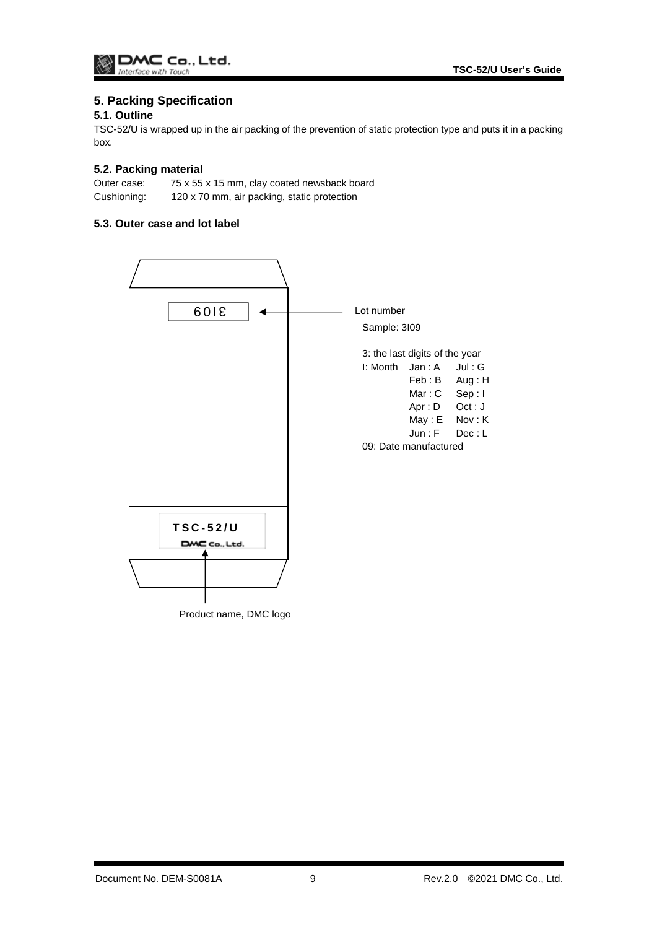## <span id="page-9-0"></span>**5. Packing Specification**

## <span id="page-9-1"></span>**5.1. Outline**

TSC-52/U is wrapped up in the air packing of the prevention of static protection type and puts it in a packing box.

## <span id="page-9-2"></span>**5.2. Packing material**

Outer case: 75 x 55 x 15 mm, clay coated newsback board Cushioning: 120 x 70 mm, air packing, static protection

## <span id="page-9-3"></span>**5.3. Outer case and lot label**

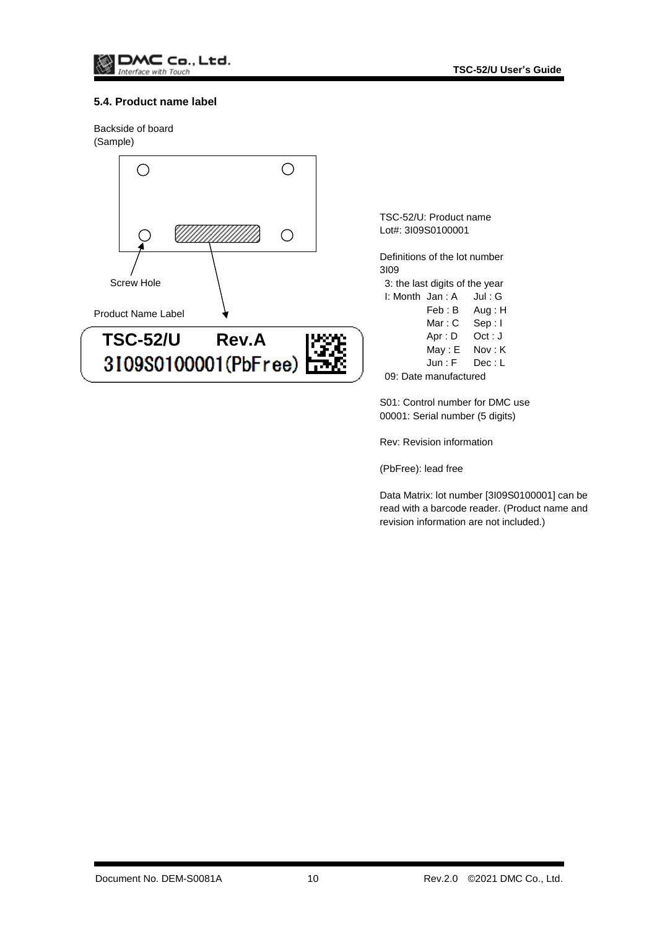## <span id="page-10-0"></span>**5.4. Product name label**

Backside of board (Sample)



TSC-52/U: Product name Lot#: 3I09S0100001

Definitions of the lot number 3I09 3: the last digits of the year

 $I:$  Month Jan : A Jul : G

| . | Jall.n     | JUI. J  |
|---|------------|---------|
|   | Feb : B    | Aug: H  |
|   | Mar : C    | Sep:I   |
|   | Apr: D     | Oct : J |
|   | $M$ ay : E | Nov: K  |
|   | Jun : F    | Dec : L |
|   |            |         |

09: Date manufactured

S01: Control number for DMC use 00001: Serial number (5 digits)

Rev: Revision information

(PbFree): lead free

Data Matrix: lot number [3I09S0100001] can be read with a barcode reader. (Product name and revision information are not included.)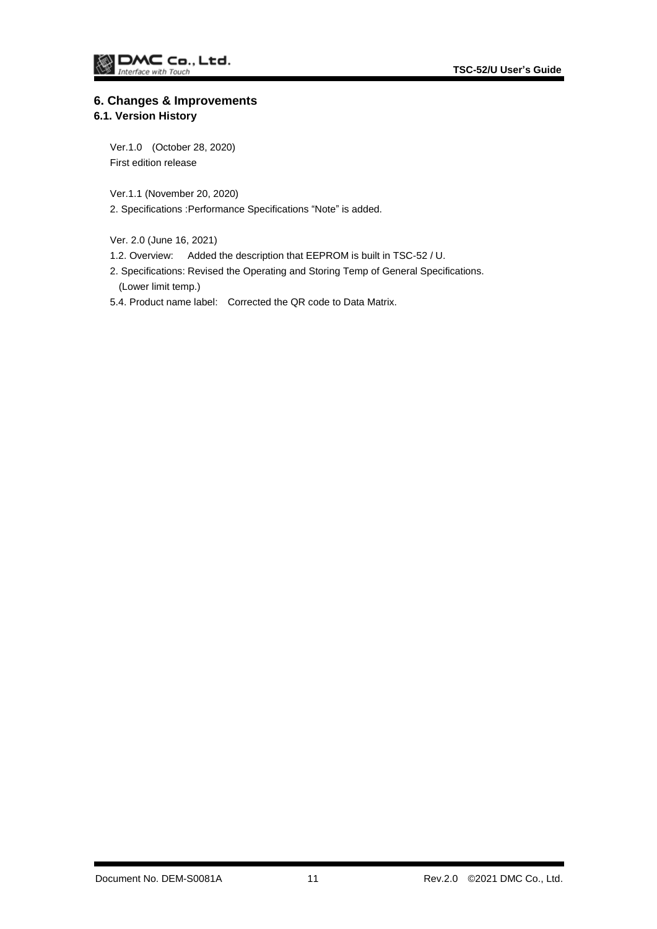# <span id="page-11-0"></span>**6. Changes & Improvements**

<span id="page-11-1"></span>**6.1. Version History**

Ver.1.0 (October 28, 2020) First edition release

Ver.1.1 (November 20, 2020)

2. Specifications :Performance Specifications "Note" is added.

Ver. 2.0 (June 16, 2021)

- 1.2. Overview: Added the description that EEPROM is built in TSC-52 / U.
- 2. Specifications: Revised the Operating and Storing Temp of General Specifications. (Lower limit temp.)
- 5.4. Product name label: Corrected the QR code to Data Matrix.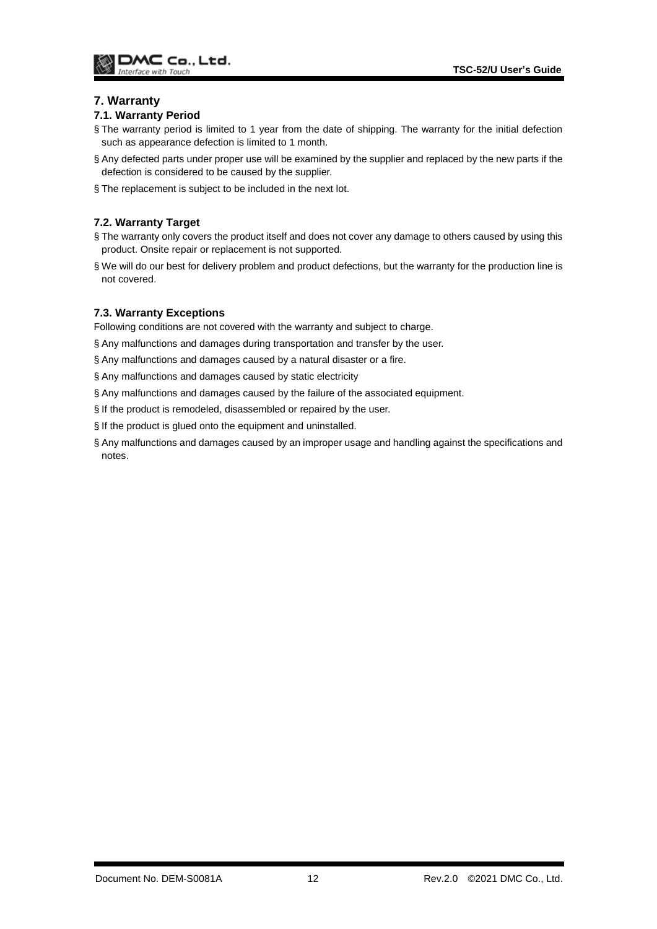## <span id="page-12-0"></span>**7. Warranty**

#### <span id="page-12-1"></span>**7.1. Warranty Period**

- § The warranty period is limited to 1 year from the date of shipping. The warranty for the initial defection such as appearance defection is limited to 1 month.
- § Any defected parts under proper use will be examined by the supplier and replaced by the new parts if the defection is considered to be caused by the supplier.
- § The replacement is subject to be included in the next lot.

## <span id="page-12-2"></span>**7.2. Warranty Target**

- § The warranty only covers the product itself and does not cover any damage to others caused by using this product. Onsite repair or replacement is not supported.
- § We will do our best for delivery problem and product defections, but the warranty for the production line is not covered.

#### <span id="page-12-3"></span>**7.3. Warranty Exceptions**

Following conditions are not covered with the warranty and subject to charge.

- § Any malfunctions and damages during transportation and transfer by the user.
- § Any malfunctions and damages caused by a natural disaster or a fire.
- § Any malfunctions and damages caused by static electricity
- § Any malfunctions and damages caused by the failure of the associated equipment.
- § If the product is remodeled, disassembled or repaired by the user.
- § If the product is glued onto the equipment and uninstalled.
- § Any malfunctions and damages caused by an improper usage and handling against the specifications and notes.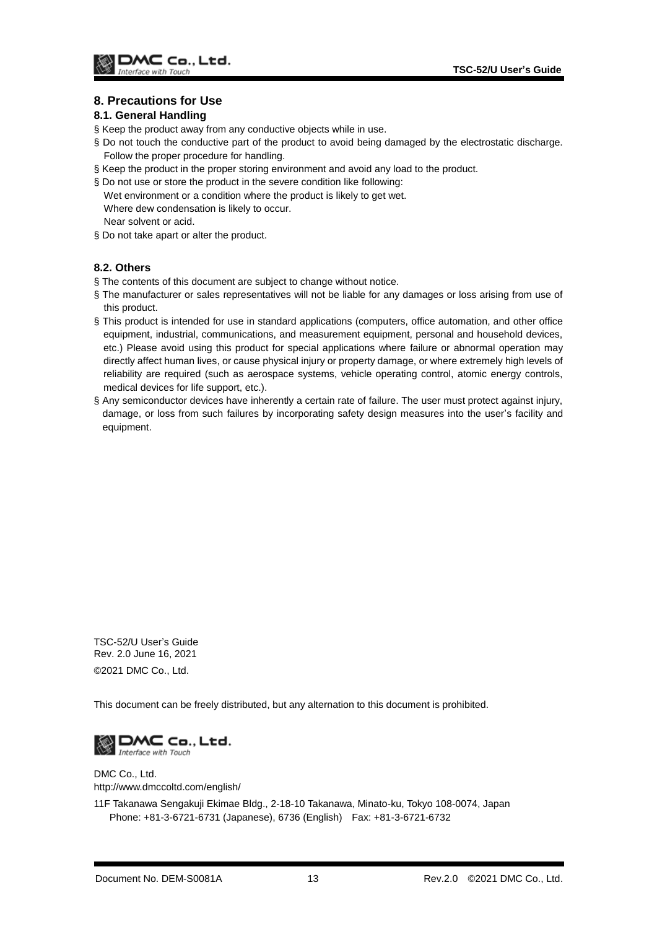## <span id="page-13-0"></span>**8. Precautions for Use**

#### <span id="page-13-1"></span>**8.1. General Handling**

- § Keep the product away from any conductive objects while in use.
- § Do not touch the conductive part of the product to avoid being damaged by the electrostatic discharge. Follow the proper procedure for handling.
- § Keep the product in the proper storing environment and avoid any load to the product.
- § Do not use or store the product in the severe condition like following:
- Wet environment or a condition where the product is likely to get wet. Where dew condensation is likely to occur. Near solvent or acid.
- § Do not take apart or alter the product.

## <span id="page-13-2"></span>**8.2. Others**

- § The contents of this document are subject to change without notice.
- § The manufacturer or sales representatives will not be liable for any damages or loss arising from use of this product.
- § This product is intended for use in standard applications (computers, office automation, and other office equipment, industrial, communications, and measurement equipment, personal and household devices, etc.) Please avoid using this product for special applications where failure or abnormal operation may directly affect human lives, or cause physical injury or property damage, or where extremely high levels of reliability are required (such as aerospace systems, vehicle operating control, atomic energy controls, medical devices for life support, etc.).
- § Any semiconductor devices have inherently a certain rate of failure. The user must protect against injury, damage, or loss from such failures by incorporating safety design measures into the user's facility and equipment.

TSC-52/U User's Guide Rev. 2.0 June 16, 2021 ©2021 DMC Co., Ltd.

This document can be freely distributed, but any alternation to this document is prohibited.



DMC Co., Ltd. http://www.dmccoltd.com/english/

11F Takanawa Sengakuji Ekimae Bldg., 2-18-10 Takanawa, Minato-ku, Tokyo 108-0074, Japan Phone: +81-3-6721-6731 (Japanese), 6736 (English) Fax: +81-3-6721-6732